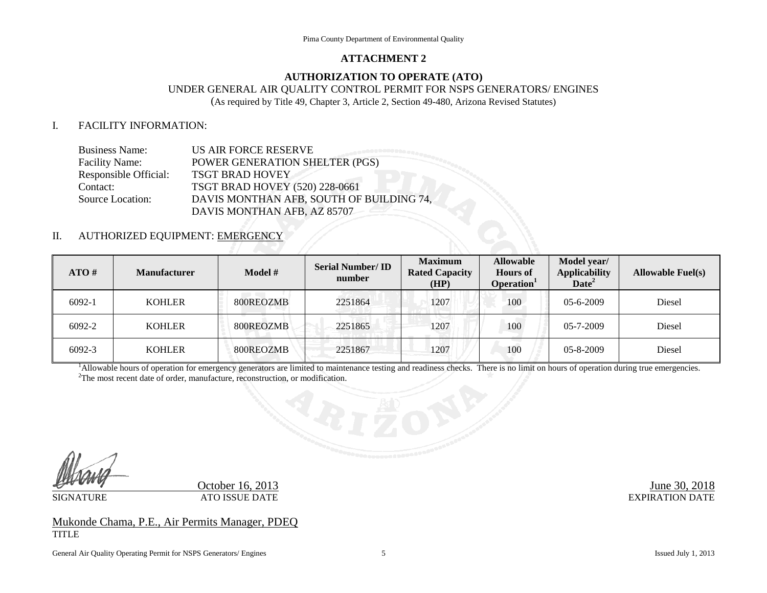#### **ATTACHMENT 2**

### **AUTHORIZATION TO OPERATE (ATO)**

# UNDER GENERAL AIR QUALITY CONTROL PERMIT FOR NSPS GENERATORS/ ENGINES

(As required by Title 49, Chapter 3, Article 2, Section 49-480, Arizona Revised Statutes)

### I. FACILITY INFORMATION:

| <b>Business Name:</b>   | US AIR FORCE RESERVE                     |
|-------------------------|------------------------------------------|
| <b>Facility Name:</b>   | POWER GENERATION SHELTER (PGS)           |
| Responsible Official:   | <b>TSGT BRAD HOVEY</b>                   |
| Contact:                | TSGT BRAD HOVEY (520) 228-0661           |
| <b>Source Location:</b> | DAVIS MONTHAN AFB, SOUTH OF BUILDING 74, |
|                         | DAVIS MONTHAN AFB, AZ 85707              |

## II. AUTHORIZED EQUIPMENT: EMERGEI

| ATO#   | <b>Manufacturer</b> | <b>Model</b> $#$ | <b>Serial Number/ID</b><br>number | <b>Maximum</b><br><b>Rated Capacity</b><br>(HP) | <b>Allowable</b><br><b>Hours of</b><br>Operation <sup>1</sup> | Model year/<br><b>Applicability</b><br>Date <sup>2</sup> | <b>Allowable Fuel(s)</b> |
|--------|---------------------|------------------|-----------------------------------|-------------------------------------------------|---------------------------------------------------------------|----------------------------------------------------------|--------------------------|
| 6092-1 | <b>KOHLER</b>       | 800REOZMB        | 2251864                           | 1207                                            | 100                                                           | $05 - 6 - 2009$                                          | Diesel                   |
| 6092-2 | <b>KOHLER</b>       | 800REOZMB        | 2251865                           | 1207                                            | 100                                                           | $05 - 7 - 2009$                                          | Diesel                   |
| 6092-3 | <b>KOHLER</b>       | 800REOZMB        | 2251867                           | 1207                                            | 100                                                           | $05 - 8 - 2009$                                          | Diesel                   |

<sup>1</sup>Allowable hours of operation for emergency generators are limited to maintenance testing and readiness checks. There is no limit on hours of operation during true emergencies. <sup>2</sup>The most recent data of order, manufactu <sup>2</sup>The most recent date of order, manufacture, reconstruction, or modification.

October 16, 2013<br>ATO ISSUE DATE EXPIRATION DATE SIGNATURE ATO ISSUE DATE ATO ISSUE DATE

Mukonde Chama, P.E., Air Permits Manager, PDEQ TITLE

General Air Quality Operating Permit for NSPS Generators/ Engines 5 5 Issued July 1, 2013